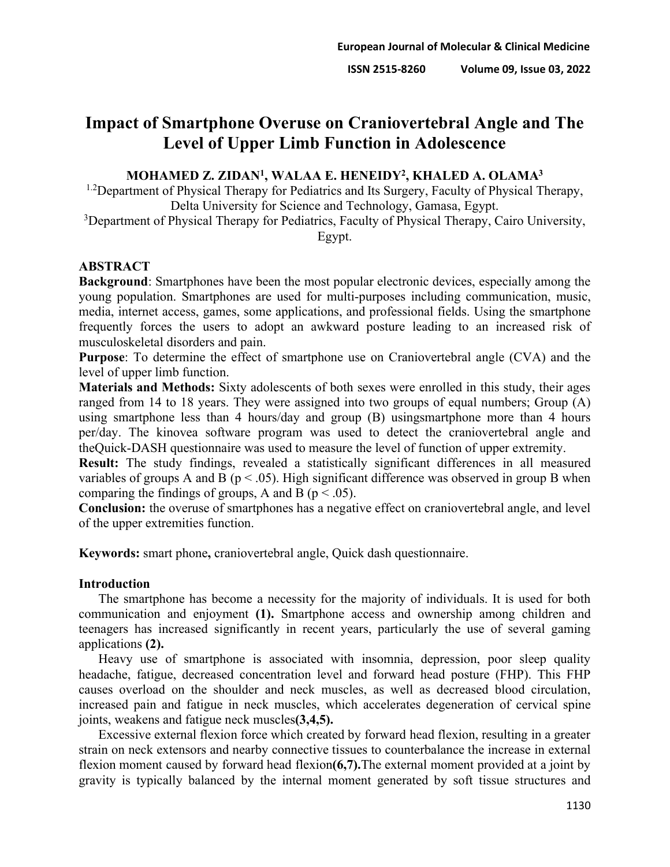# **Impact of Smartphone Overuse on Craniovertebral Angle and The Level of Upper Limb Function in Adolescence**

# **MOHAMED Z. ZIDAN1, WALAA E. HENEIDY2, KHALED A. OLAMA3**

<sup>1.2</sup>Department of Physical Therapy for Pediatrics and Its Surgery, Faculty of Physical Therapy, Delta University for Science and Technology, Gamasa, Egypt.

<sup>3</sup>Department of Physical Therapy for Pediatrics, Faculty of Physical Therapy, Cairo University, Egypt.

# **ABSTRACT**

**Background**: Smartphones have been the most popular electronic devices, especially among the young population. Smartphones are used for multi-purposes including communication, music, media, internet access, games, some applications, and professional fields. Using the smartphone frequently forces the users to adopt an awkward posture leading to an increased risk of musculoskeletal disorders and pain.

**Purpose**: To determine the effect of smartphone use on Craniovertebral angle (CVA) and the level of upper limb function.

**Materials and Methods:** Sixty adolescents of both sexes were enrolled in this study, their ages ranged from 14 to 18 years. They were assigned into two groups of equal numbers; Group (A) using smartphone less than 4 hours/day and group (B) usingsmartphone more than 4 hours per/day. The kinovea software program was used to detect the craniovertebral angle and theQuick-DASH questionnaire was used to measure the level of function of upper extremity.

**Result:** The study findings, revealed a statistically significant differences in all measured variables of groups A and B ( $p < .05$ ). High significant difference was observed in group B when comparing the findings of groups, A and B ( $p < .05$ ).

**Conclusion:** the overuse of smartphones has a negative effect on craniovertebral angle, and level of the upper extremities function.

**Keywords:** smart phone**,** craniovertebral angle, Quick dash questionnaire.

# **Introduction**

The smartphone has become a necessity for the majority of individuals. It is used for both communication and enjoyment **(1).** Smartphone access and ownership among children and teenagers has increased significantly in recent years, particularly the use of several gaming applications **(2).**

Heavy use of smartphone is associated with insomnia, depression, poor sleep quality headache, fatigue, decreased concentration level and forward head posture (FHP). This FHP causes overload on the shoulder and neck muscles, as well as decreased blood circulation, increased pain and fatigue in neck muscles, which accelerates degeneration of cervical spine joints, weakens and fatigue neck muscles**(3,4,5).**

Excessive external flexion force which created by forward head flexion, resulting in a greater strain on neck extensors and nearby connective tissues to counterbalance the increase in external flexion moment caused by forward head flexion**(6,7).**The external moment provided at a joint by gravity is typically balanced by the internal moment generated by soft tissue structures and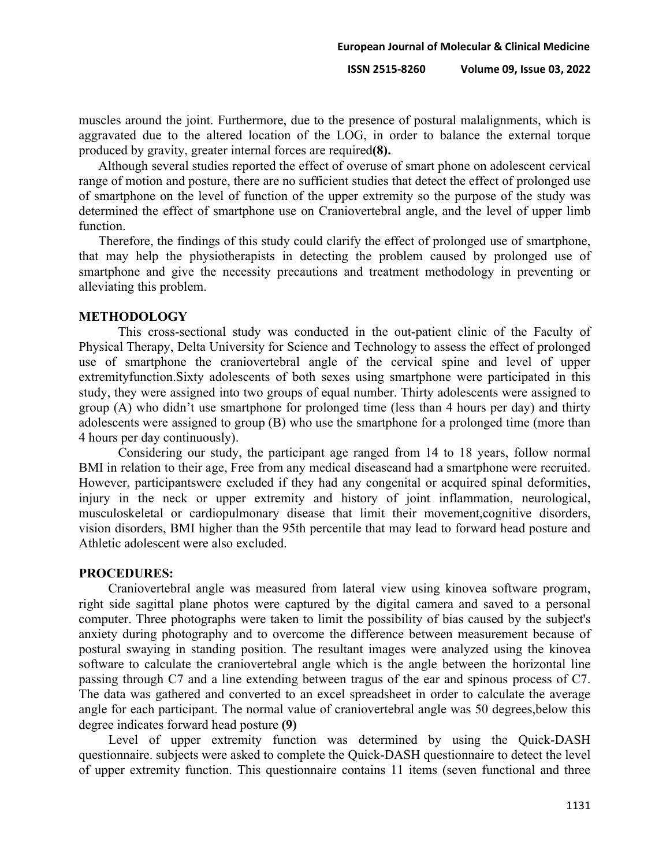muscles around the joint. Furthermore, due to the presence of postural malalignments, which is aggravated due to the altered location of the LOG, in order to balance the external torque produced by gravity, greater internal forces are required**(8).**

Although several studies reported the effect of overuse of smart phone on adolescent cervical range of motion and posture, there are no sufficient studies that detect the effect of prolonged use of smartphone on the level of function of the upper extremity so the purpose of the study was determined the effect of smartphone use on Craniovertebral angle, and the level of upper limb function.

Therefore, the findings of this study could clarify the effect of prolonged use of smartphone, that may help the physiotherapists in detecting the problem caused by prolonged use of smartphone and give the necessity precautions and treatment methodology in preventing or alleviating this problem.

#### **METHODOLOGY**

This cross-sectional study was conducted in the out-patient clinic of the Faculty of Physical Therapy, Delta University for Science and Technology to assess the effect of prolonged use of smartphone the craniovertebral angle of the cervical spine and level of upper extremityfunction.Sixty adolescents of both sexes using smartphone were participated in this study, they were assigned into two groups of equal number. Thirty adolescents were assigned to group (A) who didn't use smartphone for prolonged time (less than 4 hours per day) and thirty adolescents were assigned to group (B) who use the smartphone for a prolonged time (more than 4 hours per day continuously).

Considering our study, the participant age ranged from 14 to 18 years, follow normal BMI in relation to their age, Free from any medical diseaseand had a smartphone were recruited. However, participantswere excluded if they had any congenital or acquired spinal deformities, injury in the neck or upper extremity and history of joint inflammation, neurological, musculoskeletal or cardiopulmonary disease that limit their movement,cognitive disorders, vision disorders, BMI higher than the 95th percentile that may lead to forward head posture and Athletic adolescent were also excluded.

#### **PROCEDURES:**

Craniovertebral angle was measured from lateral view using kinovea software program, right side sagittal plane photos were captured by the digital camera and saved to a personal computer. Three photographs were taken to limit the possibility of bias caused by the subject's anxiety during photography and to overcome the difference between measurement because of postural swaying in standing position. The resultant images were analyzed using the kinovea software to calculate the craniovertebral angle which is the angle between the horizontal line passing through C7 and a line extending between tragus of the ear and spinous process of C7. The data was gathered and converted to an excel spreadsheet in order to calculate the average angle for each participant. The normal value of craniovertebral angle was 50 degrees,below this degree indicates forward head posture **(9)**

Level of upper extremity function was determined by using the Quick-DASH questionnaire. subjects were asked to complete the Quick-DASH questionnaire to detect the level of upper extremity function. This questionnaire contains 11 items (seven functional and three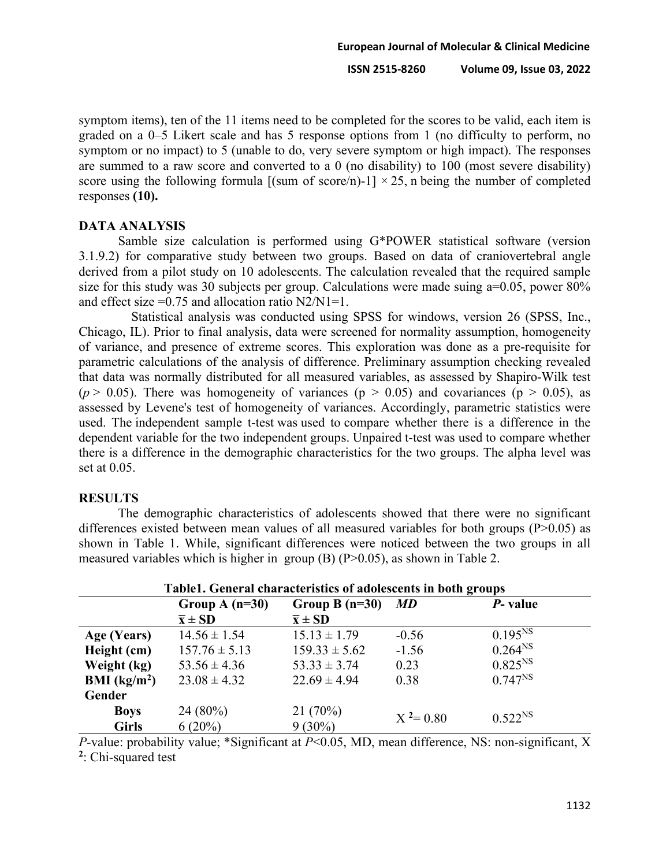symptom items), ten of the 11 items need to be completed for the scores to be valid, each item is graded on a 0–5 Likert scale and has 5 response options from 1 (no difficulty to perform, no symptom or no impact) to 5 (unable to do, very severe symptom or high impact). The responses are summed to a raw score and converted to a 0 (no disability) to 100 (most severe disability) score using the following formula  $[(sum of score/n)-1] \times 25$ , n being the number of completed responses **(10).**

#### **DATA ANALYSIS**

Samble size calculation is performed using G\*POWER statistical software (version 3.1.9.2) for comparative study between two groups. Based on data of craniovertebral angle derived from a pilot study on 10 adolescents. The calculation revealed that the required sample size for this study was 30 subjects per group. Calculations were made suing  $a=0.05$ , power  $80\%$ and effect size  $=0.75$  and allocation ratio N2/N1=1.

Statistical analysis was conducted using SPSS for windows, version 26 (SPSS, Inc., Chicago, IL). Prior to final analysis, data were screened for normality assumption, homogeneity of variance, and presence of extreme scores. This exploration was done as a pre-requisite for parametric calculations of the analysis of difference. Preliminary assumption checking revealed that data was normally distributed for all measured variables, as assessed by Shapiro-Wilk test ( $p > 0.05$ ). There was homogeneity of variances ( $p > 0.05$ ) and covariances ( $p > 0.05$ ), as assessed by Levene's test of homogeneity of variances. Accordingly, parametric statistics were used. The independent sample t-test was used to compare whether there is a difference in the dependent variable for the two independent groups. Unpaired t-test was used to compare whether there is a difference in the demographic characteristics for the two groups. The alpha level was set at 0.05.

#### **RESULTS**

The demographic characteristics of adolescents showed that there were no significant differences existed between mean values of all measured variables for both groups  $(P>0.05)$  as shown in Table 1. While, significant differences were noticed between the two groups in all measured variables which is higher in group  $(B)$  (P $>0.05$ ), as shown in Table 2.

| TableT. General characteristics of adolescents in both groups |                       |                       |              |              |  |  |  |
|---------------------------------------------------------------|-----------------------|-----------------------|--------------|--------------|--|--|--|
|                                                               | Group A $(n=30)$      | Group B $(n=30)$      | <i>MD</i>    | P- value     |  |  |  |
|                                                               | $\overline{x} \pm SD$ | $\overline{x} \pm SD$ |              |              |  |  |  |
| Age (Years)                                                   | $14.56 \pm 1.54$      | $15.13 \pm 1.79$      | $-0.56$      | $0.195^{NS}$ |  |  |  |
| Height (cm)                                                   | $157.76 \pm 5.13$     | $159.33 \pm 5.62$     | $-1.56$      | $0.264^{NS}$ |  |  |  |
| Weight (kg)                                                   | $53.56 \pm 4.36$      | $53.33 \pm 3.74$      | 0.23         | $0.825^{NS}$ |  |  |  |
| <b>BMI</b> ( $kg/m2$ )                                        | $23.08 \pm 4.32$      | $22.69 \pm 4.94$      | 0.38         | $0.747^{NS}$ |  |  |  |
| Gender                                                        |                       |                       |              |              |  |  |  |
| <b>Boys</b>                                                   | $24(80\%)$            | 21(70%)               | $X^2 = 0.80$ | $0.522^{NS}$ |  |  |  |
| <b>Girls</b>                                                  | $6(20\%)$             | $9(30\%)$             |              |              |  |  |  |

## **Table1. General characteristics of adolescents in both groups**

*P*-value: probability value; \*Significant at  $P<0.05$ , MD, mean difference, NS: non-significant, X **2**: Chi-squared test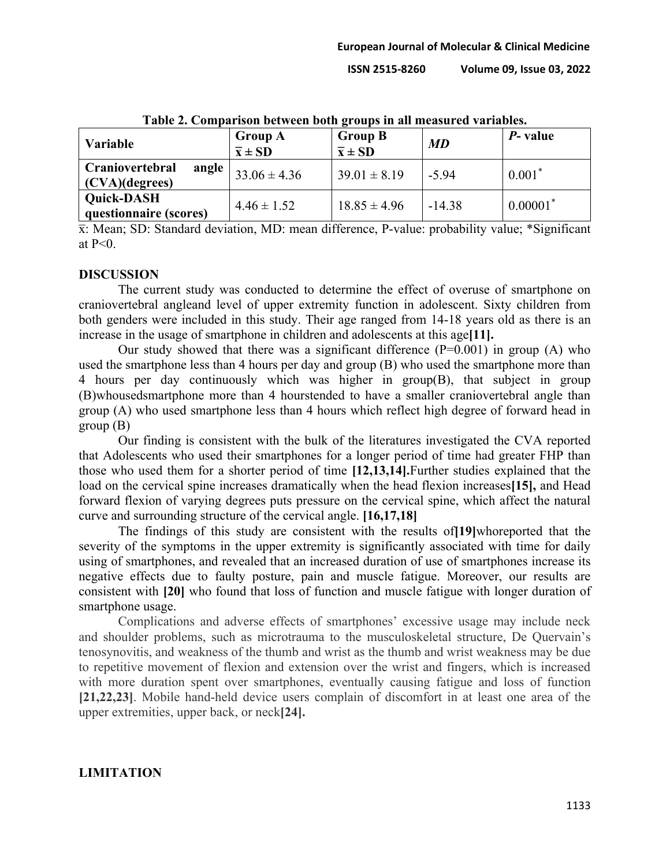| <b>Variable</b>                             | <b>Group A</b><br>$\overline{x} \pm SD$ | <b>Group B</b><br>$\overline{x} \pm SD$ | <b>MD</b> | <i>P</i> - value       |
|---------------------------------------------|-----------------------------------------|-----------------------------------------|-----------|------------------------|
| Craniovertebral<br>angle<br>(CVA)(degree)   | $33.06 \pm 4.36$                        | $39.01 \pm 8.19$                        | $-5.94$   | $0.001*$               |
| <b>Quick-DASH</b><br>questionnaire (scores) | $4.46 \pm 1.52$                         | $18.85 \pm 4.96$                        | $-14.38$  | $0.00001$ <sup>*</sup> |

**Table 2. Comparison between both groups in all measured variables.**

 $\bar{x}$ : Mean; SD: Standard deviation, MD: mean difference, P-value: probability value; \*Significant at  $P<0$ .

#### **DISCUSSION**

The current study was conducted to determine the effect of overuse of smartphone on craniovertebral angleand level of upper extremity function in adolescent. Sixty children from both genders were included in this study. Their age ranged from 14-18 years old as there is an increase in the usage of smartphone in children and adolescents at this age**[11].**

Our study showed that there was a significant difference  $(P=0.001)$  in group  $(A)$  who used the smartphone less than 4 hours per day and group (B) who used the smartphone more than 4 hours per day continuously which was higher in group(B), that subject in group (B)whousedsmartphone more than 4 hourstended to have a smaller craniovertebral angle than group (A) who used smartphone less than 4 hours which reflect high degree of forward head in group (B)

Our finding is consistent with the bulk of the literatures investigated the CVA reported that Adolescents who used their smartphones for a longer period of time had greater FHP than those who used them for a shorter period of time **[12,13,14].**Further studies explained that the load on the cervical spine increases dramatically when the head flexion increases**[15],** and Head forward flexion of varying degrees puts pressure on the cervical spine, which affect the natural curve and surrounding structure of the cervical angle. **[16,17,18]**

The findings of this study are consistent with the results of**[19]**whoreported that the severity of the symptoms in the upper extremity is significantly associated with time for daily using of smartphones, and revealed that an increased duration of use of smartphones increase its negative effects due to faulty posture, pain and muscle fatigue. Moreover, our results are consistent with **[20]** who found that loss of function and muscle fatigue with longer duration of smartphone usage.

Complications and adverse effects of smartphones' excessive usage may include neck and shoulder problems, such as microtrauma to the musculoskeletal structure, De Quervain's tenosynovitis, and weakness of the thumb and wrist as the thumb and wrist weakness may be due to repetitive movement of flexion and extension over the wrist and fingers, which is increased with more duration spent over smartphones, eventually causing fatigue and loss of function **[21,22,23]**. Mobile hand-held device users complain of discomfort in at least one area of the upper extremities, upper back, or neck**[24].**

#### **LIMITATION**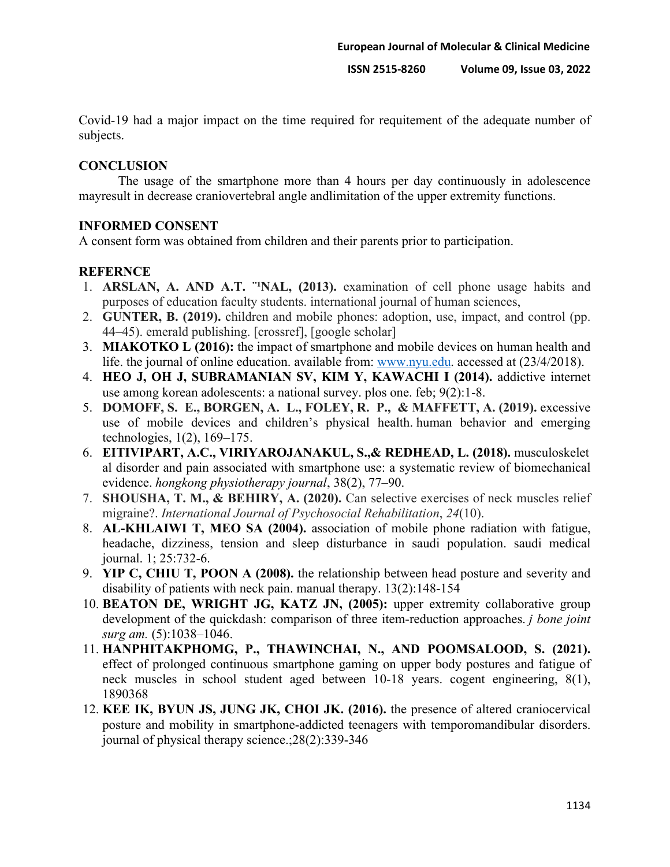Covid-19 had a major impact on the time required for requitement of the adequate number of subjects.

## **CONCLUSION**

The usage of the smartphone more than 4 hours per day continuously in adolescence mayresult in decrease craniovertebral angle andlimitation of the upper extremity functions.

## **INFORMED CONSENT**

A consent form was obtained from children and their parents prior to participation.

## **REFERNCE**

- 1. **ARSLAN, A. AND A.T.** "NAL, (2013). examination of cell phone usage habits and purposes of education faculty students. international journal of human sciences,
- 2. **GUNTER, B. (2019).** children and mobile phones: adoption, use, impact, and control (pp. 44–45). emerald publishing. [crossref], [google scholar]
- 3. **MIAKOTKO L (2016):** the impact of smartphone and mobile devices on human health and life. the journal of online education. available from: [www.nyu.edu.](http://www.nyu.edu/) accessed at (23/4/2018).
- 4. **HEO J, OH J, SUBRAMANIAN SV, KIM Y, KAWACHI I (2014).** addictive internet use among korean adolescents: a national survey. plos one. feb; 9(2):1-8.
- 5. **DOMOFF, S. E., BORGEN, A. L., FOLEY, R. P., & MAFFETT, A. (2019).** excessive use of mobile devices and children's physical health. human behavior and emerging technologies, 1(2), 169–175.
- 6. **EITIVIPART, A.C., VIRIYAROJANAKUL, S.,& REDHEAD, L. (2018).** musculoskelet al disorder and pain associated with smartphone use: a systematic review of biomechanical evidence. *hongkong physiotherapy journal*, 38(2), 77–90.
- 7. **SHOUSHA, T. M., & BEHIRY, A. (2020).** Can selective exercises of neck muscles relief migraine?. *International Journal of Psychosocial Rehabilitation*, *24*(10).
- 8. **AL-KHLAIWI T, MEO SA (2004).** association of mobile phone radiation with fatigue, headache, dizziness, tension and sleep disturbance in saudi population. saudi medical journal. 1; 25:732-6.
- 9. **YIP C, CHIU T, POON A (2008).** the relationship between head posture and severity and disability of patients with neck pain. manual therapy. 13(2):148-154
- 10. **BEATON DE, WRIGHT JG, KATZ JN, (2005):** upper extremity collaborative group development of the quickdash: comparison of three item-reduction approaches. *j bone joint surg am.* (5):1038–1046.
- 11. **HANPHITAKPHOMG, P., THAWINCHAI, N., AND POOMSALOOD, S. (2021).** effect of prolonged continuous smartphone gaming on upper body postures and fatigue of neck muscles in school student aged between 10-18 years. cogent engineering, 8(1), 1890368
- 12. **KEE IK, BYUN JS, JUNG JK, CHOI JK. (2016).** the presence of altered craniocervical posture and mobility in smartphone-addicted teenagers with temporomandibular disorders. journal of physical therapy science.;28(2):339-346